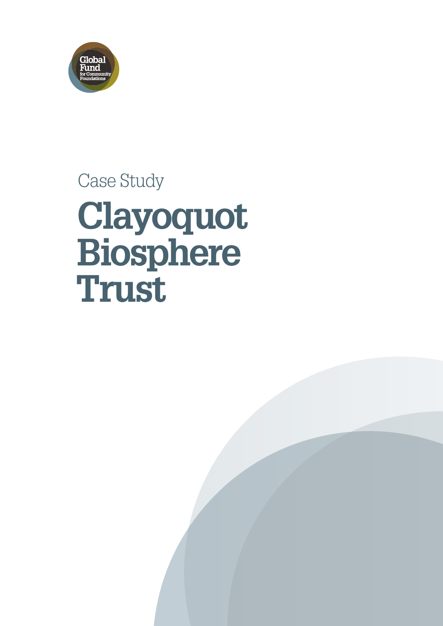

# Case Study **Clayoquot Biosphere Trust**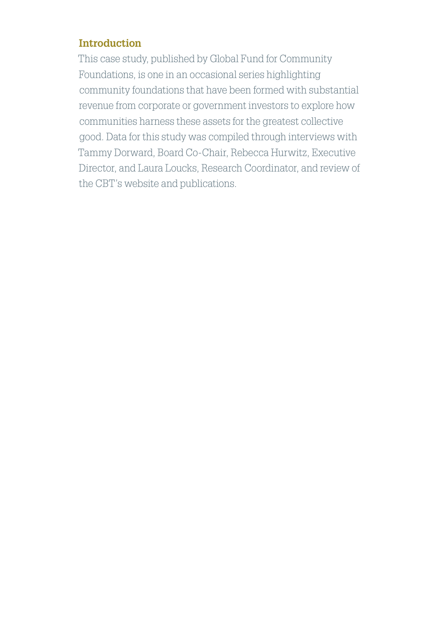## **Introduction**

This case study, published by Global Fund for Community Foundations, is one in an occasional series highlighting community foundations that have been formed with substantial revenue from corporate or government investors to explore how communities harness these assets for the greatest collective good. Data for this study was compiled through interviews with Tammy Dorward, Board Co‑Chair, Rebecca Hurwitz, Executive Director, and Laura Loucks, Research Coordinator, and review of the CBT's website and publications.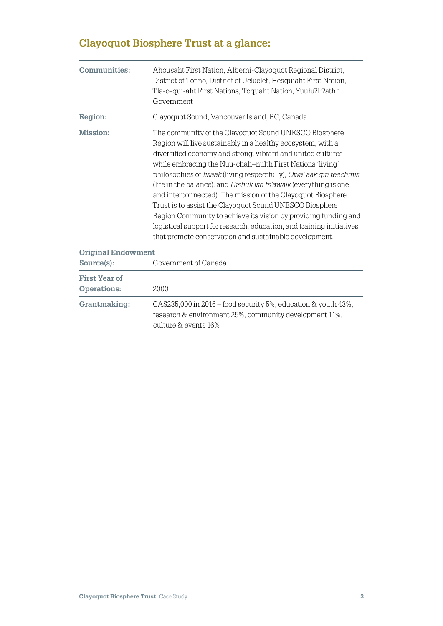## **Clayoquot Biosphere Trust at a glance:**

| <b>Communities:</b>       | Ahousaht First Nation, Alberni-Clayoquot Regional District,<br>District of Tofino, District of Ucluelet, Hesquiaht First Nation,<br>Tla-o-qui-aht First Nations, Toquaht Nation, Yuułu7ił7athh<br>Government                                                                                                                                                                                                                                                                                                                                                                                                                                                                                                                |
|---------------------------|-----------------------------------------------------------------------------------------------------------------------------------------------------------------------------------------------------------------------------------------------------------------------------------------------------------------------------------------------------------------------------------------------------------------------------------------------------------------------------------------------------------------------------------------------------------------------------------------------------------------------------------------------------------------------------------------------------------------------------|
| <b>Region:</b>            | Clayoquot Sound, Vancouver Island, BC, Canada                                                                                                                                                                                                                                                                                                                                                                                                                                                                                                                                                                                                                                                                               |
| Mission:                  | The community of the Clayoquot Sound UNESCO Biosphere<br>Region will live sustainably in a healthy ecosystem, with a<br>diversified economy and strong, vibrant and united cultures<br>while embracing the Nuu-chah-nulth First Nations 'living'<br>philosophies of Iisaak (living respectfully), Owa' aak qin teechmis<br>(life in the balance), and Hishuk ish ts'awalk (everything is one<br>and interconnected). The mission of the Clayoquot Biosphere<br>Trust is to assist the Clayoquot Sound UNESCO Biosphere<br>Region Community to achieve its vision by providing funding and<br>logistical support for research, education, and training initiatives<br>that promote conservation and sustainable development. |
| <b>Original Endowment</b> |                                                                                                                                                                                                                                                                                                                                                                                                                                                                                                                                                                                                                                                                                                                             |
| Source(s):                | Government of Canada                                                                                                                                                                                                                                                                                                                                                                                                                                                                                                                                                                                                                                                                                                        |
| <b>First Year of</b>      |                                                                                                                                                                                                                                                                                                                                                                                                                                                                                                                                                                                                                                                                                                                             |
| <b>Operations:</b>        | 2000                                                                                                                                                                                                                                                                                                                                                                                                                                                                                                                                                                                                                                                                                                                        |
| Grantmaking:              | CA\$235,000 in 2016 – food security 5%, education & youth 43%,<br>research & environment 25%, community development 11%,<br>culture & events 16%                                                                                                                                                                                                                                                                                                                                                                                                                                                                                                                                                                            |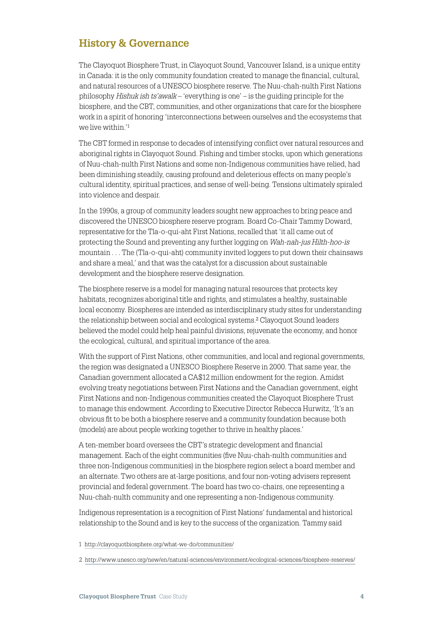### **History & Governance**

The Clayoquot Biosphere Trust, in Clayoquot Sound, Vancouver Island, is a unique entity in Canada: it is the only community foundation created to manage the financial, cultural, and natural resources of a UNESCO biosphere reserve. The Nuu‑chah‑nulth First Nations philosophy *Hishuk ish ts'awalk* – 'everything is one' – is the guiding principle for the biosphere, and the CBT, communities, and other organizations that care for the biosphere work in a spirit of honoring 'interconnections between ourselves and the ecosystems that we live within<sup>'1</sup>

The CBT formed in response to decades of intensifying conflict over natural resources and aboriginal rights in Clayoquot Sound. Fishing and timber stocks, upon which generations of Nuu‑chah‑nulth First Nations and some non‑Indigenous communities have relied, had been diminishing steadily, causing profound and deleterious effects on many people's cultural identity, spiritual practices, and sense of well‑being. Tensions ultimately spiraled into violence and despair.

In the 1990s, a group of community leaders sought new approaches to bring peace and discovered the UNESCO biosphere reserve program. Board Co‑Chair Tammy Doward, representative for the Tla‑o‑qui‑aht First Nations, recalled that 'it all came out of protecting the Sound and preventing any further logging on *Wah‑nah‑jus Hilth‑hoo‑is* mountain . . . The (Tla-o-qui-aht) community invited loggers to put down their chainsaws and share a meal,' and that was the catalyst for a discussion about sustainable development and the biosphere reserve designation.

The biosphere reserve is a model for managing natural resources that protects key habitats, recognizes aboriginal title and rights, and stimulates a healthy, sustainable local economy. Biospheres are intended as interdisciplinary study sites for understanding the relationship between social and ecological systems.2 Clayoquot Sound leaders believed the model could help heal painful divisions, rejuvenate the economy, and honor the ecological, cultural, and spiritual importance of the area.

With the support of First Nations, other communities, and local and regional governments, the region was designated a UNESCO Biosphere Reserve in 2000. That same year, the Canadian government allocated a CA\$12 million endowment for the region. Amidst evolving treaty negotiations between First Nations and the Canadian government, eight First Nations and non‑Indigenous communities created the Clayoquot Biosphere Trust to manage this endowment. According to Executive Director Rebecca Hurwitz, 'It's an obvious fit to be both a biosphere reserve and a community foundation because both (models) are about people working together to thrive in healthy places.'

A ten‑member board oversees the CBT's strategic development and financial management. Each of the eight communities (five Nuu-chah-nulth communities and three non‑Indigenous communities) in the biosphere region select a board member and an alternate. Two others are at‑large positions, and four non‑voting advisers represent provincial and federal government. The board has two co‑chairs, one representing a Nuu‑chah‑nulth community and one representing a non‑Indigenous community.

Indigenous representation is a recognition of First Nations' fundamental and historical relationship to the Sound and is key to the success of the organization. Tammy said

1 http://clayoquotbiosphere.org/what-we-do/communities/

2 http://www.unesco.org/new/en/natural-sciences/environment/ecological-sciences/biosphere-reserves/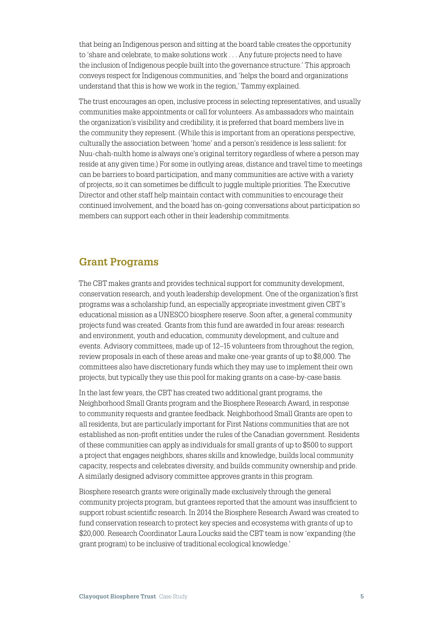that being an Indigenous person and sitting at the board table creates the opportunity to 'share and celebrate, to make solutions work . . . Any future projects need to have the inclusion of Indigenous people built into the governance structure.' This approach conveys respect for Indigenous communities, and 'helps the board and organizations understand that this is how we work in the region,' Tammy explained.

The trust encourages an open, inclusive process in selecting representatives, and usually communities make appointments or call for volunteers. As ambassadors who maintain the organization's visibility and credibility, it is preferred that board members live in the community they represent. (While this is important from an operations perspective, culturally the association between 'home' and a person's residence is less salient: for Nuu‑chah‑nulth home is always one's original territory regardless of where a person may reside at any given time.) For some in outlying areas, distance and travel time to meetings can be barriers to board participation, and many communities are active with a variety of projects, so it can sometimes be difficult to juggle multiple priorities. The Executive Director and other staff help maintain contact with communities to encourage their continued involvement, and the board has on‑going conversations about participation so members can support each other in their leadership commitments.

#### **Grant Programs**

The CBT makes grants and provides technical support for community development, conservation research, and youth leadership development. One of the organization's first programs was a scholarship fund, an especially appropriate investment given CBT's educational mission as a UNESCO biosphere reserve. Soon after, a general community projects fund was created. Grants from this fund are awarded in four areas: research and environment, youth and education, community development, and culture and events. Advisory committees, made up of 12–15 volunteers from throughout the region, review proposals in each of these areas and make one‑year grants of up to \$8,000. The committees also have discretionary funds which they may use to implement their own projects, but typically they use this pool for making grants on a case‑by‑case basis.

In the last few years, the CBT has created two additional grant programs, the Neighborhood Small Grants program and the Biosphere Research Award, in response to community requests and grantee feedback. Neighborhood Small Grants are open to all residents, but are particularly important for First Nations communities that are not established as non‑profit entities under the rules of the Canadian government. Residents of these communities can apply as individuals for small grants of up to \$500 to support a project that engages neighbors, shares skills and knowledge, builds local community capacity, respects and celebrates diversity, and builds community ownership and pride. A similarly designed advisory committee approves grants in this program.

Biosphere research grants were originally made exclusively through the general community projects program, but grantees reported that the amount was insufficient to support robust scientific research. In 2014 the Biosphere Research Award was created to fund conservation research to protect key species and ecosystems with grants of up to \$20,000. Research Coordinator Laura Loucks said the CBT team is now 'expanding (the grant program) to be inclusive of traditional ecological knowledge.'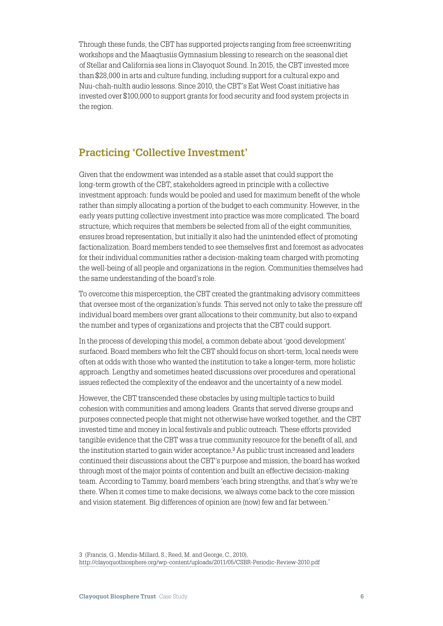Through these funds, the CBT has supported projects ranging from free screenwriting workshops and the Maaqtusiis Gymnasium blessing to research on the seasonal diet of Stellar and California sea lions in Clayoquot Sound. In 2015, the CBT invested more than \$28,000 in arts and culture funding, including support for a cultural expo and Nuu‑chah‑nulth audio lessons. Since 2010, the CBT's Eat West Coast initiative has invested over \$100,000 to support grants for food security and food system projects in the region.

#### **Practicing 'Collective Investment'**

Given that the endowment was intended as a stable asset that could support the long‑term growth of the CBT, stakeholders agreed in principle with a collective investment approach: funds would be pooled and used for maximum benefit of the whole rather than simply allocating a portion of the budget to each community. However, in the early years putting collective investment into practice was more complicated. The board structure, which requires that members be selected from all of the eight communities, ensures broad representation, but initially it also had the unintended effect of promoting factionalization. Board members tended to see themselves first and foremost as advocates for their individual communities rather a decision‑making team charged with promoting the well‑being of all people and organizations in the region. Communities themselves had the same understanding of the board's role.

To overcome this misperception, the CBT created the grantmaking advisory committees that oversee most of the organization's funds. This served not only to take the pressure off individual board members over grant allocations to their community, but also to expand the number and types of organizations and projects that the CBT could support.

In the process of developing this model, a common debate about 'good development' surfaced. Board members who felt the CBT should focus on short-term, local needs were often at odds with those who wanted the institution to take a longer‑term, more holistic approach. Lengthy and sometimes heated discussions over procedures and operational issues reflected the complexity of the endeavor and the uncertainty of a new model.

However, the CBT transcended these obstacles by using multiple tactics to build cohesion with communities and among leaders. Grants that served diverse groups and purposes connected people that might not otherwise have worked together, and the CBT invested time and money in local festivals and public outreach. These efforts provided tangible evidence that the CBT was a true community resource for the benefit of all, and the institution started to gain wider acceptance.<sup>3</sup> As public trust increased and leaders continued their discussions about the CBT's purpose and mission, the board has worked through most of the major points of contention and built an effective decision-making team. According to Tammy, board members 'each bring strengths, and that's why we're there. When it comes time to make decisions, we always come back to the core mission and vision statement. Big differences of opinion are (now) few and far between.'

3 (Francis, G., Mendis-Millard, S., Reed, M. and George, C., 2010), http://clayoquotbiosphere.org/wp-content/uploads/2011/05/CSBR-Periodic-Review-2010.pdf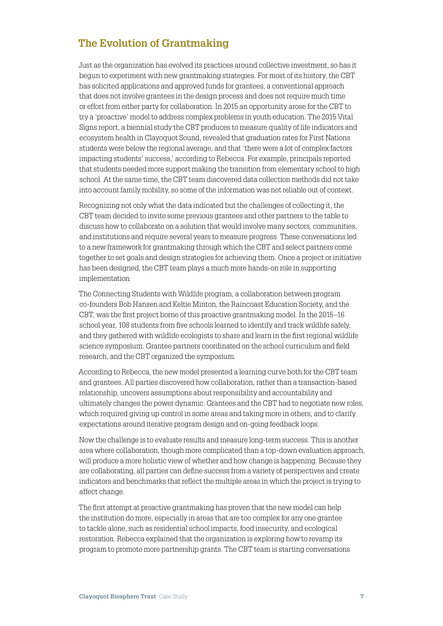#### **The Evolution of Grantmaking**

Just as the organization has evolved its practices around collective investment, so has it begun to experiment with new grantmaking strategies. For most of its history, the CBT has solicited applications and approved funds for grantees, a conventional approach that does not involve grantees in the design process and does not require much time or effort from either party for collaboration. In 2015 an opportunity arose for the CBT to try a 'proactive' model to address complex problems in youth education. The 2015 Vital Signs report, a biennial study the CBT produces to measure quality of life indicators and ecosystem health in Clayoquot Sound, revealed that graduation rates for First Nations students were below the regional average, and that 'there were a lot of complex factors impacting students' success,' according to Rebecca. For example, principals reported that students needed more support making the transition from elementary school to high school. At the same time, the CBT team discovered data collection methods did not take into account family mobility, so some of the information was not reliable out of context.

Recognizing not only what the data indicated but the challenges of collecting it, the CBT team decided to invite some previous grantees and other partners to the table to discuss how to collaborate on a solution that would involve many sectors, communities, and institutions and require several years to measure progress. These conversations led to a new framework for grantmaking through which the CBT and select partners come together to set goals and design strategies for achieving them. Once a project or initiative has been designed, the CBT team plays a much more hands‑on role in supporting implementation.

The Connecting Students with Wildlife program, a collaboration between program co‑founders Bob Hansen and Keltie Minton, the Raincoast Education Society, and the CBT, was the first project borne of this proactive grantmaking model. In the 2015–16 school year, 108 students from five schools learned to identify and track wildlife safely, and they gathered with wildlife ecologists to share and learn in the first regional wildlife science symposium. Grantee partners coordinated on the school curriculum and field research, and the CBT organized the symposium.

According to Rebecca, the new model presented a learning curve both for the CBT team and grantees. All parties discovered how collaboration, rather than a transaction-based relationship, uncovers assumptions about responsibility and accountability and ultimately changes the power dynamic. Grantees and the CBT had to negotiate new roles, which required giving up control in some areas and taking more in others, and to clarify expectations around iterative program design and on‑going feedback loops.

Now the challenge is to evaluate results and measure long‑term success. This is another area where collaboration, though more complicated than a top‑down evaluation approach, will produce a more holistic view of whether and how change is happening. Because they are collaborating, all parties can define success from a variety of perspectives and create indicators and benchmarks that reflect the multiple areas in which the project is trying to affect change.

The first attempt at proactive grantmaking has proven that the new model can help the institution do more, especially in areas that are too complex for any one grantee to tackle alone, such as residential school impacts, food insecurity, and ecological restoration. Rebecca explained that the organization is exploring how to revamp its program to promote more partnership grants. The CBT team is starting conversations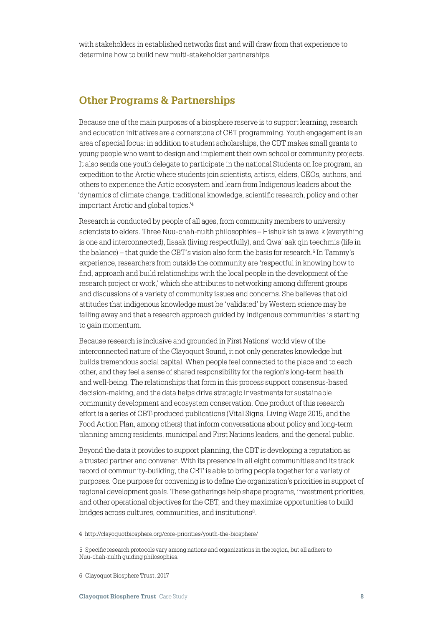with stakeholders in established networks first and will draw from that experience to determine how to build new multi-stakeholder partnerships.

#### **Other Programs & Partnerships**

Because one of the main purposes of a biosphere reserve is to support learning, research and education initiatives are a cornerstone of CBT programming. Youth engagement is an area of special focus: in addition to student scholarships, the CBT makes small grants to young people who want to design and implement their own school or community projects. It also sends one youth delegate to participate in the national Students on Ice program, an expedition to the Arctic where students join scientists, artists, elders, CEOs, authors, and others to experience the Artic ecosystem and learn from Indigenous leaders about the 'dynamics of climate change, traditional knowledge, scientific research, policy and other important Arctic and global topics.'4

Research is conducted by people of all ages, from community members to university scientists to elders. Three Nuu-chah-nulth philosophies – Hishuk ish ts'awalk (everything is one and interconnected), Iisaak (living respectfully), and Qwa' aak qin teechmis (life in the balance) – that guide the CBT's vision also form the basis for research.<sup>5</sup> In Tammy's experience, researchers from outside the community are 'respectful in knowing how to find, approach and build relationships with the local people in the development of the research project or work,' which she attributes to networking among different groups and discussions of a variety of community issues and concerns. She believes that old attitudes that indigenous knowledge must be 'validated' by Western science may be falling away and that a research approach guided by Indigenous communities is starting to gain momentum.

Because research is inclusive and grounded in First Nations' world view of the interconnected nature of the Clayoquot Sound, it not only generates knowledge but builds tremendous social capital. When people feel connected to the place and to each other, and they feel a sense of shared responsibility for the region's long‑term health and well-being. The relationships that form in this process support consensus-based decision‑making, and the data helps drive strategic investments for sustainable community development and ecosystem conservation. One product of this research effort is a series of CBT‑produced publications (Vital Signs, Living Wage 2015, and the Food Action Plan, among others) that inform conversations about policy and long-term planning among residents, municipal and First Nations leaders, and the general public.

Beyond the data it provides to support planning, the CBT is developing a reputation as a trusted partner and convener. With its presence in all eight communities and its track record of community‑building, the CBT is able to bring people together for a variety of purposes. One purpose for convening is to define the organization's priorities in support of regional development goals. These gatherings help shape programs, investment priorities, and other operational objectives for the CBT, and they maximize opportunities to build bridges across cultures, communities, and institutions<sup>6</sup>.

4 http://clayoquotbiosphere.org/core-priorities/youth-the-biosphere/

<sup>5</sup> Specific research protocols vary among nations and organizations in the region, but all adhere to Nuu‑chah‑nulth guiding philosophies.

<sup>6</sup> Clayoquot Biosphere Trust, 2017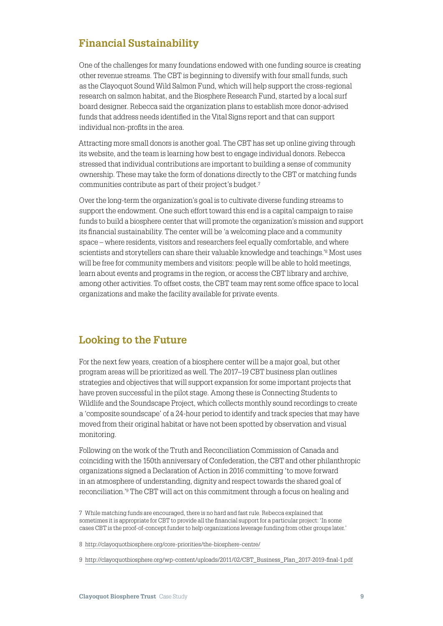### **Financial Sustainability**

One of the challenges for many foundations endowed with one funding source is creating other revenue streams. The CBT is beginning to diversify with four small funds, such as the Clayoquot Sound Wild Salmon Fund, which will help support the cross‑regional research on salmon habitat, and the Biosphere Research Fund, started by a local surf board designer. Rebecca said the organization plans to establish more donor‑advised funds that address needs identified in the Vital Signs report and that can support individual non‑profits in the area.

Attracting more small donors is another goal. The CBT has set up online giving through its website, and the team is learning how best to engage individual donors. Rebecca stressed that individual contributions are important to building a sense of community ownership. These may take the form of donations directly to the CBT or matching funds communities contribute as part of their project's budget.7

Over the long‑term the organization's goal is to cultivate diverse funding streams to support the endowment. One such effort toward this end is a capital campaign to raise funds to build a biosphere center that will promote the organization's mission and support its financial sustainability. The center will be 'a welcoming place and a community space – where residents, visitors and researchers feel equally comfortable, and where scientists and storytellers can share their valuable knowledge and teachings.'8 Most uses will be free for community members and visitors: people will be able to hold meetings, learn about events and programs in the region, or access the CBT library and archive, among other activities. To offset costs, the CBT team may rent some office space to local organizations and make the facility available for private events.

#### **Looking to the Future**

For the next few years, creation of a biosphere center will be a major goal, but other program areas will be prioritized as well. The 2017–19 CBT business plan outlines strategies and objectives that will support expansion for some important projects that have proven successful in the pilot stage. Among these is Connecting Students to Wildlife and the Soundscape Project, which collects monthly sound recordings to create a 'composite soundscape' of a 24‑hour period to identify and track species that may have moved from their original habitat or have not been spotted by observation and visual monitoring.

Following on the work of the Truth and Reconciliation Commission of Canada and coinciding with the 150th anniversary of Confederation, the CBT and other philanthropic organizations signed a Declaration of Action in 2016 committing 'to move forward in an atmosphere of understanding, dignity and respect towards the shared goal of reconciliation.'9 The CBT will act on this commitment through a focus on healing and

7 While matching funds are encouraged, there is no hard and fast rule. Rebecca explained that sometimes it is appropriate for CBT to provide all the financial support for a particular project: 'In some cases CBT is the proof‑of‑concept funder to help organizations leverage funding from other groups later.'

8 http://clayoquotbiosphere.org/core-priorities/the-biosphere-centre/

9 http://clayoquotbiosphere.org/wp-content/uploads/2011/02/CBT\_Business\_Plan\_2017-2019-final-1.pdf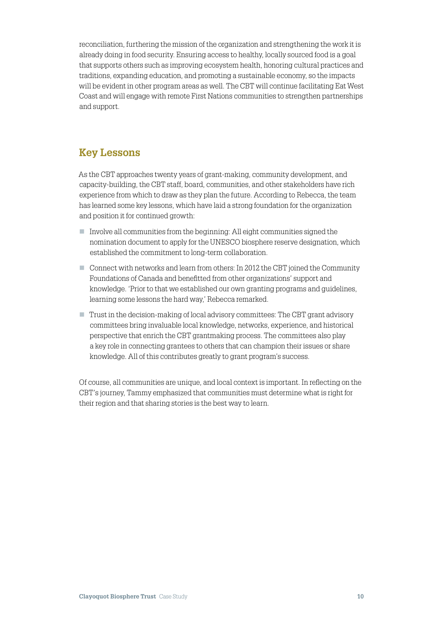reconciliation, furthering the mission of the organization and strengthening the work it is already doing in food security. Ensuring access to healthy, locally sourced food is a goal that supports others such as improving ecosystem health, honoring cultural practices and traditions, expanding education, and promoting a sustainable economy, so the impacts will be evident in other program areas as well. The CBT will continue facilitating Eat West Coast and will engage with remote First Nations communities to strengthen partnerships and support.

#### **Key Lessons**

As the CBT approaches twenty years of grant‑making, community development, and capacity‑building, the CBT staff, board, communities, and other stakeholders have rich experience from which to draw as they plan the future. According to Rebecca, the team has learned some key lessons, which have laid a strong foundation for the organization and position it for continued growth:

- $\Box$  Involve all communities from the beginning: All eight communities signed the nomination document to apply for the UNESCO biosphere reserve designation, which established the commitment to long-term collaboration.
- $\Box$  Connect with networks and learn from others: In 2012 the CBT joined the Community Foundations of Canada and benefitted from other organizations' support and knowledge. 'Prior to that we established our own granting programs and guidelines, learning some lessons the hard way,' Rebecca remarked.
- $\blacksquare$  Trust in the decision-making of local advisory committees: The CBT grant advisory committees bring invaluable local knowledge, networks, experience, and historical perspective that enrich the CBT grantmaking process. The committees also play a key role in connecting grantees to others that can champion their issues or share knowledge. All of this contributes greatly to grant program's success.

Of course, all communities are unique, and local context is important. In reflecting on the CBT's journey, Tammy emphasized that communities must determine what is right for their region and that sharing stories is the best way to learn.